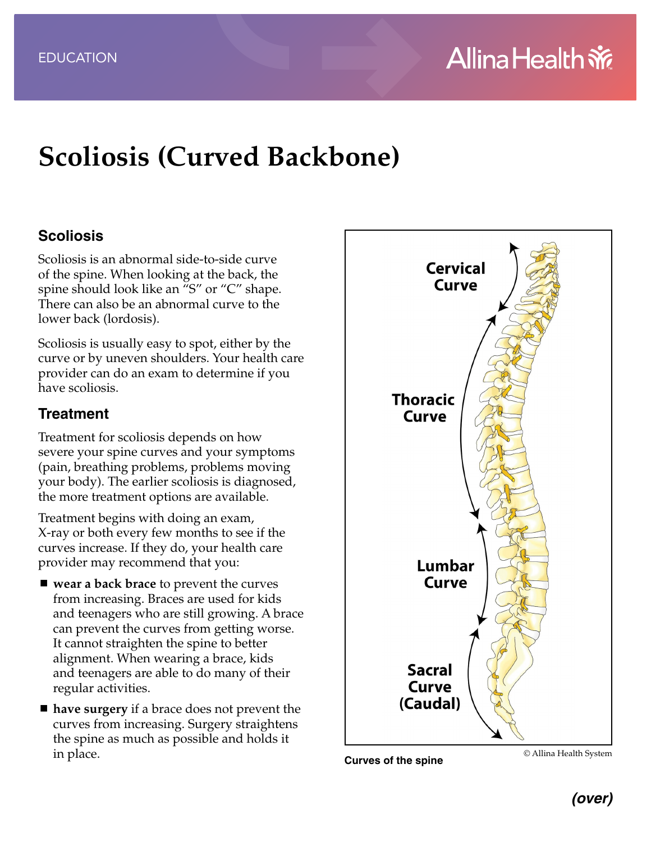# **Scoliosis (Curved Backbone)**

#### **Scoliosis**

Scoliosis is an abnormal side-to-side curve of the spine. When looking at the back, the spine should look like an "S" or "C" shape. There can also be an abnormal curve to the lower back (lordosis).

Scoliosis is usually easy to spot, either by the curve or by uneven shoulders. Your health care provider can do an exam to determine if you have scoliosis.

#### **Treatment**

Treatment for scoliosis depends on how severe your spine curves and your symptoms (pain, breathing problems, problems moving your body). The earlier scoliosis is diagnosed, the more treatment options are available.

Treatment begins with doing an exam, X-ray or both every few months to see if the curves increase. If they do, your health care provider may recommend that you:

- **wear a back brace** to prevent the curves from increasing. Braces are used for kids and teenagers who are still growing. A brace can prevent the curves from getting worse. It cannot straighten the spine to better alignment. When wearing a brace, kids and teenagers are able to do many of their regular activities.
- **have surgery** if a brace does not prevent the curves from increasing. Surgery straightens the spine as much as possible and holds it in place.



**Curves of the spine** © Allina Health System